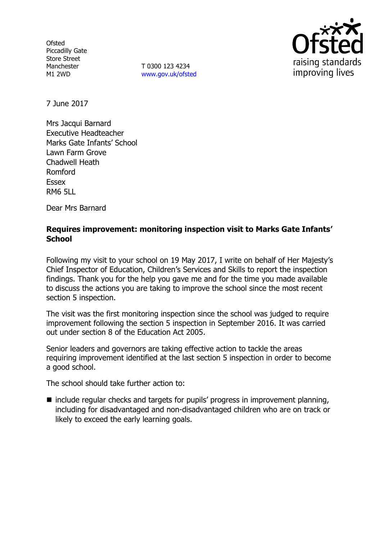**Ofsted** Piccadilly Gate Store Street Manchester M1 2WD

T 0300 123 4234 www.gov.uk/ofsted



7 June 2017

Mrs Jacqui Barnard Executive Headteacher Marks Gate Infants' School Lawn Farm Grove Chadwell Heath Romford Essex RM6 5LL

Dear Mrs Barnard

# **Requires improvement: monitoring inspection visit to Marks Gate Infants' School**

Following my visit to your school on 19 May 2017, I write on behalf of Her Majesty's Chief Inspector of Education, Children's Services and Skills to report the inspection findings. Thank you for the help you gave me and for the time you made available to discuss the actions you are taking to improve the school since the most recent section 5 inspection.

The visit was the first monitoring inspection since the school was judged to require improvement following the section 5 inspection in September 2016. It was carried out under section 8 of the Education Act 2005.

Senior leaders and governors are taking effective action to tackle the areas requiring improvement identified at the last section 5 inspection in order to become a good school.

The school should take further action to:

■ include regular checks and targets for pupils' progress in improvement planning, including for disadvantaged and non-disadvantaged children who are on track or likely to exceed the early learning goals.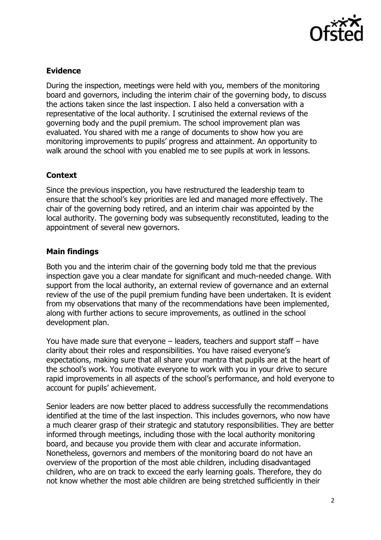

### **Evidence**

During the inspection, meetings were held with you, members of the monitoring board and governors, including the interim chair of the governing body, to discuss the actions taken since the last inspection. I also held a conversation with a representative of the local authority. I scrutinised the external reviews of the governing body and the pupil premium. The school improvement plan was evaluated. You shared with me a range of documents to show how you are monitoring improvements to pupils' progress and attainment. An opportunity to walk around the school with you enabled me to see pupils at work in lessons.

# **Context**

Since the previous inspection, you have restructured the leadership team to ensure that the school's key priorities are led and managed more effectively. The chair of the governing body retired, and an interim chair was appointed by the local authority. The governing body was subsequently reconstituted, leading to the appointment of several new governors.

# **Main findings**

Both you and the interim chair of the governing body told me that the previous inspection gave you a clear mandate for significant and much-needed change. With support from the local authority, an external review of governance and an external review of the use of the pupil premium funding have been undertaken. It is evident from my observations that many of the recommendations have been implemented, along with further actions to secure improvements, as outlined in the school development plan.

You have made sure that everyone – leaders, teachers and support staff – have clarity about their roles and responsibilities. You have raised everyone's expectations, making sure that all share your mantra that pupils are at the heart of the school's work. You motivate everyone to work with you in your drive to secure rapid improvements in all aspects of the school's performance, and hold everyone to account for pupils' achievement.

Senior leaders are now better placed to address successfully the recommendations identified at the time of the last inspection. This includes governors, who now have a much clearer grasp of their strategic and statutory responsibilities. They are better informed through meetings, including those with the local authority monitoring board, and because you provide them with clear and accurate information. Nonetheless, governors and members of the monitoring board do not have an overview of the proportion of the most able children, including disadvantaged children, who are on track to exceed the early learning goals. Therefore, they do not know whether the most able children are being stretched sufficiently in their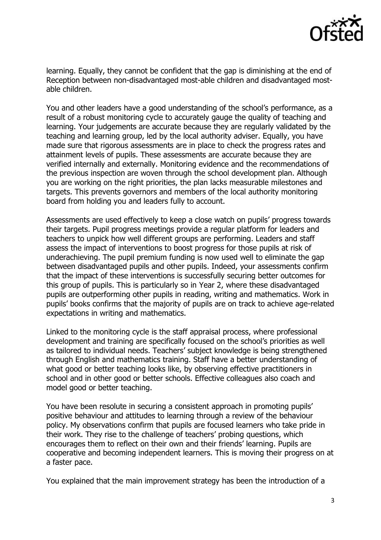

learning. Equally, they cannot be confident that the gap is diminishing at the end of Reception between non-disadvantaged most-able children and disadvantaged mostable children.

You and other leaders have a good understanding of the school's performance, as a result of a robust monitoring cycle to accurately gauge the quality of teaching and learning. Your judgements are accurate because they are regularly validated by the teaching and learning group, led by the local authority adviser. Equally, you have made sure that rigorous assessments are in place to check the progress rates and attainment levels of pupils. These assessments are accurate because they are verified internally and externally. Monitoring evidence and the recommendations of the previous inspection are woven through the school development plan. Although you are working on the right priorities, the plan lacks measurable milestones and targets. This prevents governors and members of the local authority monitoring board from holding you and leaders fully to account.

Assessments are used effectively to keep a close watch on pupils' progress towards their targets. Pupil progress meetings provide a regular platform for leaders and teachers to unpick how well different groups are performing. Leaders and staff assess the impact of interventions to boost progress for those pupils at risk of underachieving. The pupil premium funding is now used well to eliminate the gap between disadvantaged pupils and other pupils. Indeed, your assessments confirm that the impact of these interventions is successfully securing better outcomes for this group of pupils. This is particularly so in Year 2, where these disadvantaged pupils are outperforming other pupils in reading, writing and mathematics. Work in pupils' books confirms that the majority of pupils are on track to achieve age-related expectations in writing and mathematics.

Linked to the monitoring cycle is the staff appraisal process, where professional development and training are specifically focused on the school's priorities as well as tailored to individual needs. Teachers' subject knowledge is being strengthened through English and mathematics training. Staff have a better understanding of what good or better teaching looks like, by observing effective practitioners in school and in other good or better schools. Effective colleagues also coach and model good or better teaching.

You have been resolute in securing a consistent approach in promoting pupils' positive behaviour and attitudes to learning through a review of the behaviour policy. My observations confirm that pupils are focused learners who take pride in their work. They rise to the challenge of teachers' probing questions, which encourages them to reflect on their own and their friends' learning. Pupils are cooperative and becoming independent learners. This is moving their progress on at a faster pace.

You explained that the main improvement strategy has been the introduction of a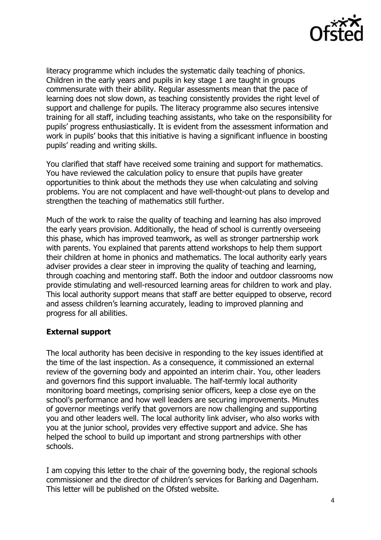

literacy programme which includes the systematic daily teaching of phonics. Children in the early years and pupils in key stage 1 are taught in groups commensurate with their ability. Regular assessments mean that the pace of learning does not slow down, as teaching consistently provides the right level of support and challenge for pupils. The literacy programme also secures intensive training for all staff, including teaching assistants, who take on the responsibility for pupils' progress enthusiastically. It is evident from the assessment information and work in pupils' books that this initiative is having a significant influence in boosting pupils' reading and writing skills.

You clarified that staff have received some training and support for mathematics. You have reviewed the calculation policy to ensure that pupils have greater opportunities to think about the methods they use when calculating and solving problems. You are not complacent and have well-thought-out plans to develop and strengthen the teaching of mathematics still further.

Much of the work to raise the quality of teaching and learning has also improved the early years provision. Additionally, the head of school is currently overseeing this phase, which has improved teamwork, as well as stronger partnership work with parents. You explained that parents attend workshops to help them support their children at home in phonics and mathematics. The local authority early years adviser provides a clear steer in improving the quality of teaching and learning, through coaching and mentoring staff. Both the indoor and outdoor classrooms now provide stimulating and well-resourced learning areas for children to work and play. This local authority support means that staff are better equipped to observe, record and assess children's learning accurately, leading to improved planning and progress for all abilities.

### **External support**

The local authority has been decisive in responding to the key issues identified at the time of the last inspection. As a consequence, it commissioned an external review of the governing body and appointed an interim chair. You, other leaders and governors find this support invaluable. The half-termly local authority monitoring board meetings, comprising senior officers, keep a close eye on the school's performance and how well leaders are securing improvements. Minutes of governor meetings verify that governors are now challenging and supporting you and other leaders well. The local authority link adviser, who also works with you at the junior school, provides very effective support and advice. She has helped the school to build up important and strong partnerships with other schools.

I am copying this letter to the chair of the governing body, the regional schools commissioner and the director of children's services for Barking and Dagenham. This letter will be published on the Ofsted website.